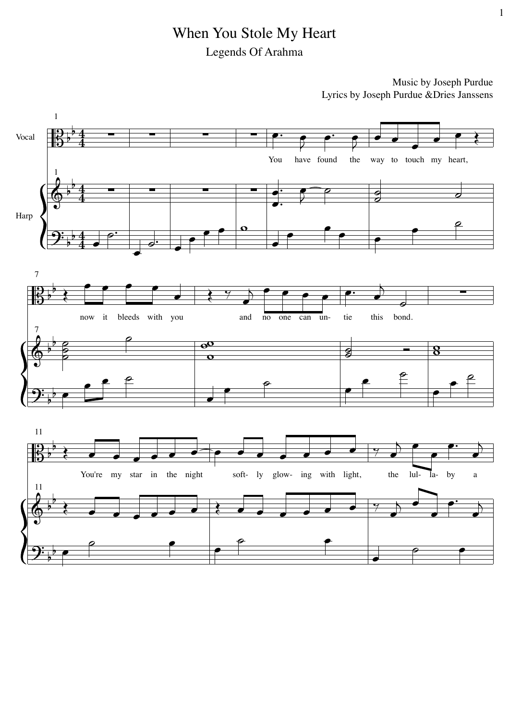## When You Stole My Heart Legends Of Arahma

Music by Joseph Purdue Lyrics by Joseph Purdue & Dries Janssens

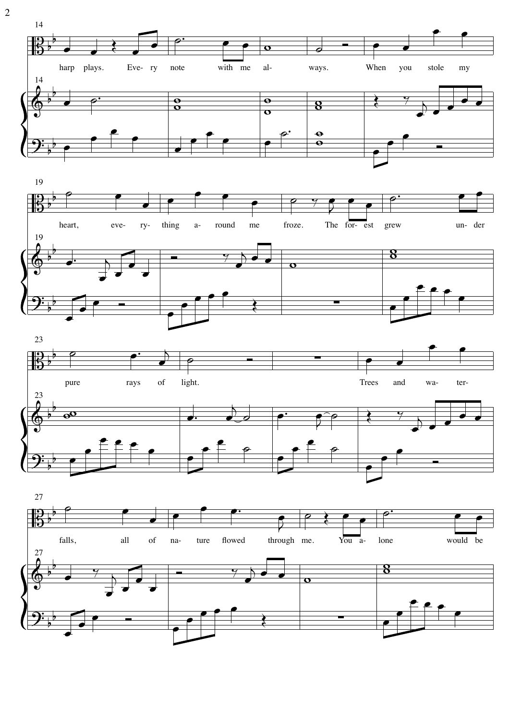

 $\overline{2}$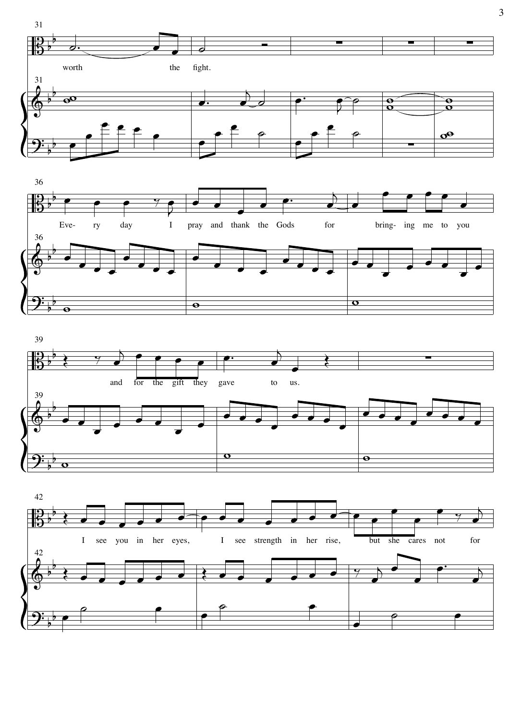



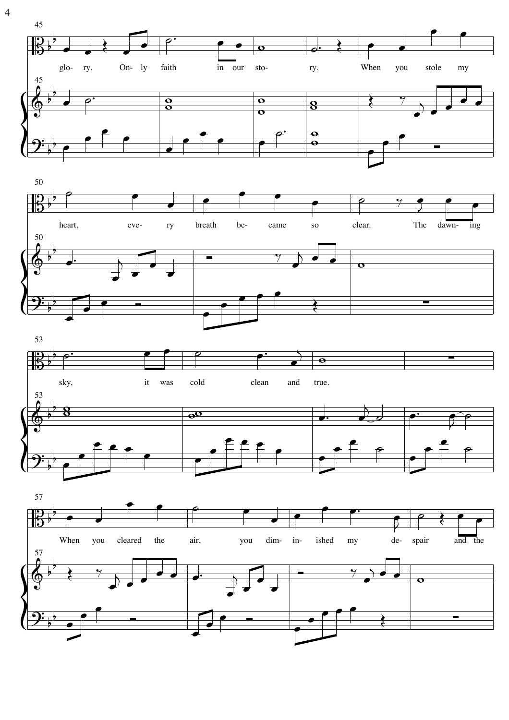

 $\overline{4}$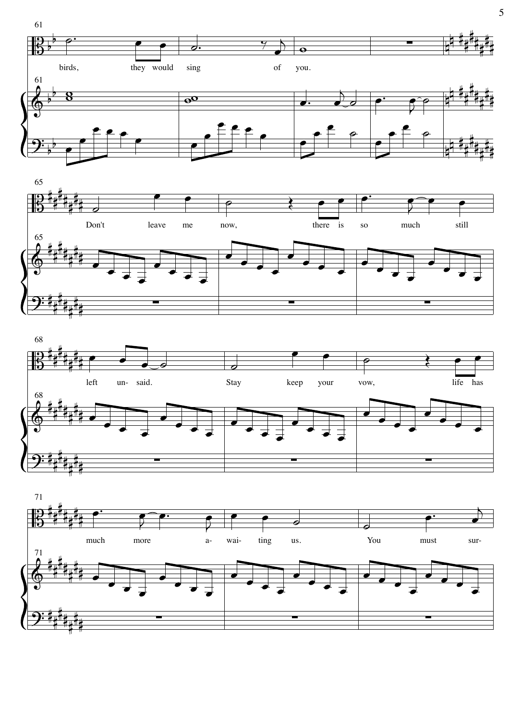







5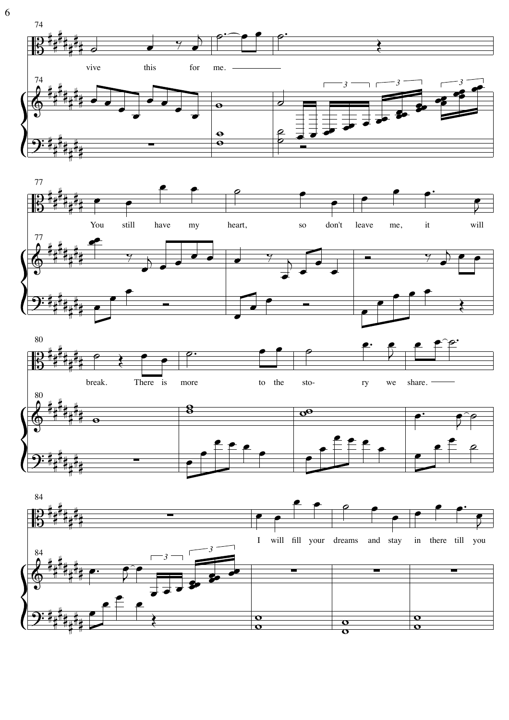